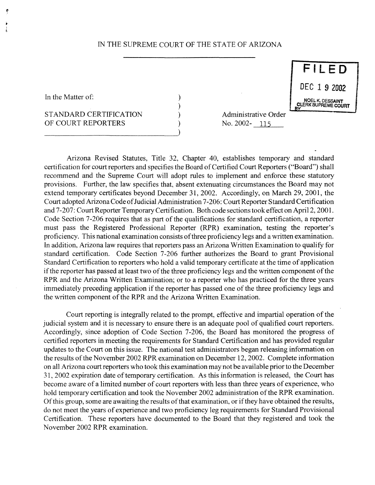## IN THE SUPREME COURT OF THE STATE OF ARIZONA

 $\lambda$ 

In the Matter of:  $\begin{array}{ccc} \n\end{array}$  .

## STANDARD CERTIFICATION (a) administrative Order OF COURT REPORTERS (and ) No. 2002-115

 $\overline{F11}$ 

<sup>9</sup> 1 km ian ba<sup>y</sup>

Arizona Revised Statutes, Title 32, Chapter 40, establishes temporary and standard certification for court reporters and specifies the Board of Certified Court Reporters ("Board") shall recommend and the Supreme Court will adopt rules to implement and enforce these statutory provisions. Further, the law specifies that, absent extenuating circumstances the Board may not extend temporary certificates beyond December 31, 2002. Accordingly, on March 29, 2001, the Court adopted Arizona Code of Judicial Administration 7-206: Court Reporter Standard Certification and 7-207: Court Reporter Temporary Certification. Both code sections took effect on April 2, 2001. Code Section 7-206 requires that as part of the qualifications for standard certification, a reporter must pass the Registered Professional Reporter (RPR) examination, testing the reporter's proficiency. This national examination consists of three proficiency legs and a written examination. In addition, Arizonalaw requires that reporters pass an ArizonaWritten Examination to qualify for standard certification. Code Section 7-206 further authorizes the Board to grant Provisional Standard Certification to reporters who hold a valid temporary certificate at the time of application if the reporter has passed at least two of the three proficiency legs and the written component of the RPR and the Arizona Written Examination; or to a reporter who has practiced for the three years immediately preceding application if the reporter has passed one of the three proficiency legs and the written component of the RPR and the Arizona Written Examination.

Court reporting is integrally related to the prompt, effective and impartial operation of the judicial system and it is necessary to ensure there is an adequate pool of qualified court reporters. Accordingly, since adoption of Code Section 7-206, the Board has monitored the progress of certified reporters in meeting the requirements for Standard Certification and has provided regular updates to the Court on this issue. The national test administrators began releasing information on the results of the November 2002 RPR examination on December 12, 2002. Complete information on all Arizona court reporters who took this examination may not be available prior to the December 31, 2002 expiration date oftemporary certification. As this information is released, the Court has become aware of a limited number of court reporters with less than three years of experience, who hold temporary certification and took the November 2002 administration of the RPR examination. Of this group, some are awaiting the results of that examination, or if they have obtained the results, do not meet the years of experience and two proficiency leg requirements for Standard Provisional Certification. These reporters have documented to the Board that they registered and took the November 2002 RPR examination.